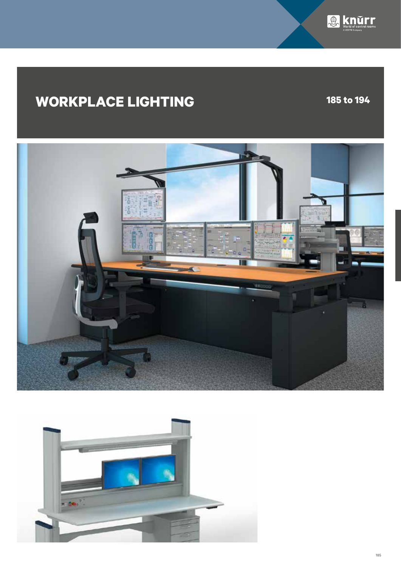

# **WORKPLACE LIGHTING** 185 to 194



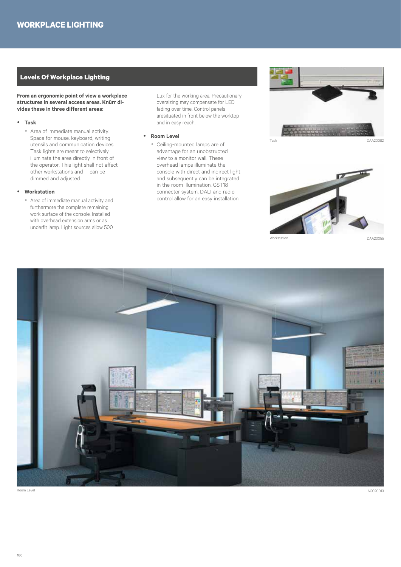# **Levels Of Workplace Lighting**

**From an ergonomic point of view a workplace structures in several access areas. Knürr divides these in three different areas:**

- y **Task**
	- Area of immediate manual activity. Space for mouse, keyboard, writing utensils and communication devices. Task lights are meant to selectively illuminate the area directly in front of the operator. This light shall not affect other workstations and can be dimmed and adjusted.

# **•** Workstation

• Area of immediate manual activity and furthermore the complete remaining work surface of the console. Installed with overhead extension arms or as underfit lamp. Light sources allow 500

Lux for the working area. Precautionary oversizing may compensate for LED fading over time. Control panels aresituated in front below the worktop and in easy reach.

- **•** Room Level
	- Ceiling-mounted lamps are of advantage for an unobstructed view to a monitor wall. These overhead lamps illuminate the console with direct and indirect light and subsequently can be integrated in the room illumination. GST18 connector system, DALI and radio control allow for an easy installation.





Workstation

DAA20055



Room Level ACC20013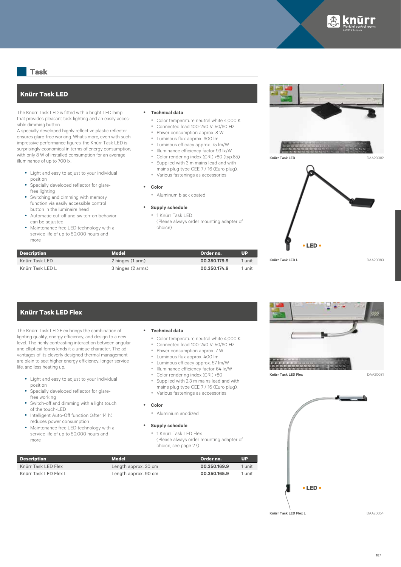

**Task**

# **Knürr Task LED**

The Knürr Task LED is fitted with a bright LED lamp that provides pleasant task lighting and an easily accessible dimming button.

A specially developed highly reflective plastic reflector ensures glare-free working. What's more, even with such impressive performance figures, the Knürr Task LED is surprisingly economical in terms of energy consumption, with only 8 W of installed consumption for an average illuminance of up to 700 lx.

- Light and easy to adjust to your individual position
- Specially developed reflector for glarefree lighting
- Switching and dimming with memory function via easily accessible control button in the luminaire head
- Automatic cut-off and switch-on behavior can be adjusted
- Maintenance free LED technology with a service life of up to 50,000 hours and more

## y **Technical data**

- y Color temperature neutral white 4,000 K
- y Connected load 100-240 V; 50/60 Hz
- Power consumption approx. 8 W
- y Luminous flux approx. 600 lm
- y Luminous efficacy approx. 75 lm/W
- y Illuminance efficiency factor 93 lx/W
- y Color rendering index (CRI) >80 (typ.85)
- y Supplied with 3 m mains lead and with
- mains plug type CEE 7 / 16 (Euro plug), • Various fastenings as accessories

#### y **Color**

• Aluminum black coated

## **Supply schedule**

- 1 Knürr Task LED
- (Please always order mounting adapter of choice)

| <b>Description</b> | <b>Model</b>      | Order no.    | ШĐ     |
|--------------------|-------------------|--------------|--------|
| Knürr Task LED     | 2 hinges (1 arm)  | 00.350.179.9 | 1 unit |
| Knürr Task LED L   | 3 hinges (2 arms) | 00.350.174.9 | 1 unit |

# **Knürr Task LED Flex**

The Knürr Task LED Flex brings the combination of lighting quality, energy efficiency, and design to a new level. The richly contrasting interaction between angular and elliptical forms lends it a unique character. The advantages of its cleverly designed thermal management are plain to see: higher energy efficiency, longer service life, and less heating up.

- Light and easy to adjust to your individual position
- Specially developed reflector for glarefree working
- Switch-off and dimming with a light touch of the touch-LED
- Intelligent Auto-Off function (after 14 h) reduces power consumption
- Maintenance free LED technology with a service life of up to 50,000 hours and more

# **•** Technical data

- y Color temperature neutral white 4,000 K
- y Connected load 100-240 V; 50/60 Hz
- Power consumption approx. 7 W
- y Luminous flux approx. 400 lm
- y Luminous efficacy approx. 57 lm/W
- y Illuminance efficiency factor 64 lx/W
- y Color rendering index (CRI) >80
- y Supplied with 2.3 m mains lead and with mains plug type CEE 7 / 16 (Euro plug),
- y Various fastenings as accessories

## y **Color**

• Aluminium anodized

## **•** Supply schedule

**1 Knürr Task LED Flex** (Please always order mounting adapter of choice, see page 27)

| Description           | <b>Model</b>         | Order no.    | UP     |
|-----------------------|----------------------|--------------|--------|
| Knürr Task LED Flex   | Length approx. 30 cm | 00.350.169.9 | 1 unit |
| Knürr Task LED Flex L | Length approx. 90 cm | 00.350.165.9 | 1 unit |







**Knürr Task LED Flex**

DAA20081



**Knürr Task LED Flex L**

DAA20054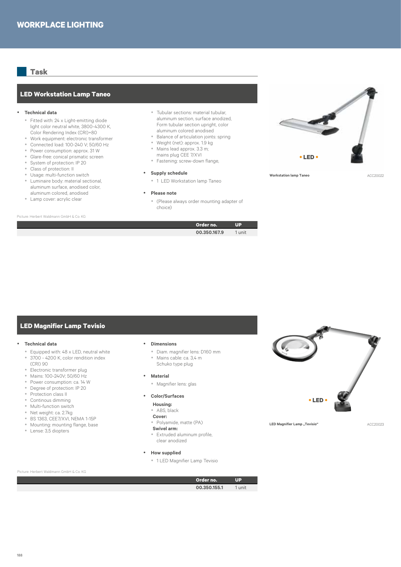# **Task**

# **LED Workstation Lamp Taneo**

#### y **Technical data**

- Fitted with: 24 x Light-emitting diode light color neutral white, 3800-4300 K, Color Rendering Index (CRI)=80
- Work equipment: electronic transformer
- y Connected load: 100-240 V; 50/60 Hz
- Power consumption: approx. 31 W
- Glare-free: conical prismatic screen<br>• System of protection: IP 20
- System of protection: IP 20
- Class of protection: II
- Usage: multi-function switch
- Luminaire body: material sectional, aluminum surface, anodised color, aluminum colored, anodised
- Lamp cover: acrylic clear

#### Picture: Herbert Waldmann GmbH & Co. KG

- **•** Tubular sections: material tubular aluminum section, surface anodized, Form tubular section upright, color aluminum colored anodised
- Balance of articulation joints: spring • Weight (net): approx. 1.9 kg
- Mains lead approx. 3.3 m;
- mains plug CEE 7/XVI • Fastening: screw-down flange,
- 
- **•** Supply schedule
	- 1 LED Workstation lamp Taneo

#### y **Please note**

y (Please always order mounting adapter of choice)

> **Order no. UP 00.350.167.9** 1 unit



**Workstation lamp Taneo**

ACC20022

# **LED Magnifier Lamp Tevisio**

### y **Technical data**

- y Equipped with: 48 x LED, neutral white y 3700 - 4200 K, color rendition index (CRI) 90
- Electronic transformer plug
- y Mains: 100-240V; 50/60 Hz
- Power consumption: ca. 14 W
- 
- Degree of protection: IP 20
- Protection class II
- Continous dimming
- Multi-function switch
- Net weight: ca. 2.7kg
- y BS 1363, CEE7/XVI, NEMA 1-15P
- Mounting: mounting flange, base
- Lense: 3,5 diopters

Picture: Herbert Waldmann GmbH & Co. KG

#### **•** Dimensions

- y Diam. magnifier lens: D160 mm
- y Mains cable: ca. 3,4 m Schuko type plug
- **•** Material
	- Magnifier lens: glas
- y **Color/Surfaces**

# **Housing:**

• ABS, black

#### **Cover:**

- Polyamide, matte (PA)
- **Swivel arm:**
- Extruded aluminum profile, clear anodized
- **•** How supplied
	- 1 LED Magnifier Lamp Tevisio

| Order no.    | <b>UP</b> |
|--------------|-----------|
| 00.350.155.1 | 1 unit    |



**LED Magnifier Lamp "Tevisio"** 

ACC20023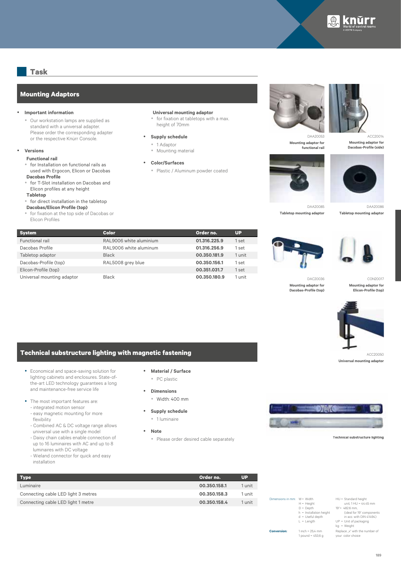

**Task**

# **Mounting Adaptors**

#### **•** Important information

• Our workstation lamps are supplied as standard with a universal adapter. Please order the corresponding adapter or the respective Knürr Console.

#### y **Versions**

## **Functional rail**

- **•** for Installation on functional rails as used with Ergocon, Elicon or Dacobas **Dacobas Profile**
- y for T-Slot installation on Dacobas and Elicon profiles at any height
- **Tabletop**
- for direct installation in the tabletop
- **Dacobas/Elicon Profile (top)**
- for fixation at the top side of Dacobas or Elicon Profiles

## **Universal mounting adaptor**

- for fixation at tabletops with a max. height of 70mm
- **•** Supply schedule
- 1 Adaptor
- Mounting material
- y **Color/Surfaces**
	- Plastic / Aluminum powder coated





**Mounting adaptor for functional rail** 

**Mounting adaptor for Dacobas-Profile (side)** DAA20053 ACC20014





DAA20085 **Tabletop mounting adaptor Tabletop mounting adaptor**

DAA20086

| <b>System</b>              | <b>Color</b>            | Order no.    | <b>UP</b> |
|----------------------------|-------------------------|--------------|-----------|
| Functional rail            | RAL9006 white aluminium | 01.316.225.9 | 1 set     |
| Dacobas Profile            | RAL9006 white aluminum  | 01.316.256.9 | 1 set     |
| Tabletop adaptor           | <b>Black</b>            | 00.350.181.9 | 1 unit    |
| Dacobas-Profile (top)      | RAL5008 grey blue       | 00.350.156.1 | 1 set     |
| Elicon-Profile (top)       |                         | 00.351.031.7 | 1 set     |
| Universal mounting adaptor | Black                   | 00.350.180.9 | 1 unit    |





DAC20036 **Mounting adaptor for Dacobas-Profile (top)**

**Mounting adaptor for Elicon-Profile (top)** CON20017



# ACC20050

**Universal mounting adaptor**

# **Technical substructure lighting with magnetic fastening**

- y Economical and space-saving solution for lighting cabinets and enclosures. State-ofthe-art LED technology guarantees a long and maintenance-free service life
- The most important features are: - integrated motion sensor - easy magnetic mounting for more flexibility
	- Combined AC & DC voltage range allows universal use with a single model
	- Daisy chain cables enable connection of up to 16 luminaires with AC and up to 8 luminaires with DC voltage
	- Wieland connector for quick and easy installation
- y **Material / Surface** • PC plastic
- y **Dimensions**  $W$ idth: 400 mm
- **•** Supply schedule
- 1 luminaire
- y **Note**
	- Please order desired cable separately



**Technical substructure lighting**

| <b>Type</b>                         | Order no.    | UP     |
|-------------------------------------|--------------|--------|
| Luminaire                           | 00.350.158.1 | 1 unit |
| Connecting cable LED light 3 metres | 00.350.158.3 | 1 unit |
| Connecting cable LED light 1 metre  | 00.350.158.4 | 1 unit |

| Dimensions in mm: W = Width | $H = Height$<br>$D = Deoth$<br>$h =$ Installation height<br>$d =$ Useful depth<br>$L = Length$ | HU = Standard height<br>unit. $1 HU = 44.45$ mm<br>19"= 482.6 mm.<br>(ideal for 19" components<br>in acc. with DIN 41494)<br>$UP = Unit of packageing$<br>$kq = Weight$ |
|-----------------------------|------------------------------------------------------------------------------------------------|-------------------------------------------------------------------------------------------------------------------------------------------------------------------------|
| <b>Conversion:</b>          | $1$ inch = $25.4$ mm<br>1 pound = $453.6$ a                                                    | Replace "x" with the number of<br>your color choice                                                                                                                     |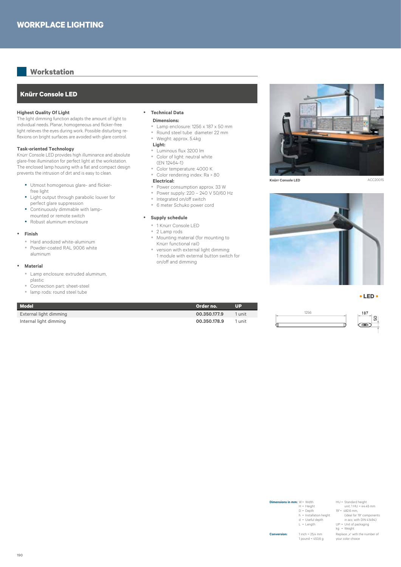# **Knürr Console LED**

#### **Highest Quality Of Light**

The light dimming function adapts the amount of light to individual needs. Planar, homogeneous and flicker-free light relieves the eyes during work. Possible disturbing reflexions on bright surfaces are avoided with glare control.

#### **Task-oriented Technology**

Knürr Console LED provides high illuminance and absolute glare-free illumination for perfect light at the workstation. The enclosed lamp housing with a flat and compact design prevents the intrusion of dirt and is easy to clean.

- Utmost homogenous glare- and flickerfree light
- Light output through parabolic louver for perfect glare suppression
- Continuously dimmable with lamp-
- mounted or remote switch • Robust aluminum enclosure

# y **Finish**

- Hard anodized white-aluminum
- Powder-coated RAL 9006 white aluminum

#### **•** Material

- y Lamp enclosure: extruded aluminum, plastic
- Connection part: sheet-steel
- lamp rods: round steel tube

# y **Technical Data**

# **Dimensions:**

- y Lamp enclosure: 1256 x 187 x 50 mm
- Round steel tube diameter 22 mm
- Weight: approx. 5.4kg

# **Light:**

- y Luminous flux 3200 lm
- Color of light: neutral white (EN 12464-1)
- y Color temperature: 4000 K
- Color rendering index: Ra > 80

#### **Electrical:**

- Power consumption approx. 33 W
- $\bullet$  Power supply: 220 240 V 50/60 Hz
- Integrated on/off switch
- y 6 meter Schuko power cord

# **•** Supply schedule

- y 1 Knürr Console LED
- 2 Lamp rods
- Mounting material (for mounting to Knürr functional rail)
- version with external light dimming: 1 module with external button switch for on/off and dimming



**Knürr Console LED**







| <b>Model</b>           | Order no.    | UP     |
|------------------------|--------------|--------|
| External light dimming | 00.350.177.9 | 1 unit |
| Internal light dimming | 00.350.178.9 | 1 unit |
|                        |              |        |

| 1 unit | 1256 |
|--------|------|
| 1 unit |      |
|        |      |



| <b>Dimensions in mm:</b> $W = Width$ | $H = Height$<br>$D = Deoth$<br>$h =$ Installation height<br>$d =$ Useful depth<br>$L = Length$ | HU = Standard height<br>unit. $1 HU = 44.45$ mm<br>19"= 482.6 mm.<br>(ideal for 19" components<br>in acc. with DIN 41494)<br>$UP = Unit of packaging$<br>$kq = Weight$ |
|--------------------------------------|------------------------------------------------------------------------------------------------|------------------------------------------------------------------------------------------------------------------------------------------------------------------------|
| <b>Conversion:</b>                   | $1$ inch = 25.4 mm<br>1 pound = $453,6$ g                                                      | Replace .x" with the number of<br>your color choice                                                                                                                    |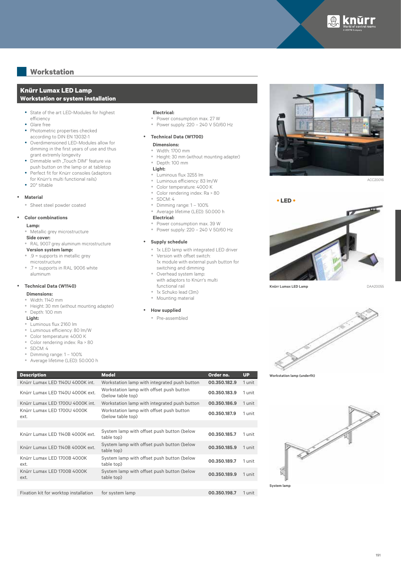

# **Knürr Lumax LED Lamp Workstation or system installation**

- State of the art LED-Modules for highest efficiency
- Glare free
- Photometric properties checked according to DIN EN 13032-1
- Overdimensioned LED-Modules allow for dimming in the first years of use and thus grant extremly longevity
- Dimmable with "Touch DIM" feature via push button on the lamp or at tabletop
- Perfect fit for Knürr consoles (adaptors
- for Knürr's multi functional rails)
- 20° tiltable

## y **Material**

• Sheet steel powder coated

# **Color combinations**

#### **Lamp:**

- Metallic grey microstructure
- **Side cover:**
- RAL 9007 grey aluminum microstructure **Version system lamp:**
- $\bullet$  .9 = supports in metallic grey
- microstructure
- $.7$  = supports in RAL 9006 white aluminum

# y **Technical Data (W1140)**

#### **Dimensions:**

- y Width: 1140 mm
- Height: 30 mm (without mounting adapter)
- y Depth: 100 mm

# **Light:**

- y Luminous flux 2160 lm
- Luminous efficiency: 80 lm/W<br>• Color temperature: 4000 K
- y Color temperature: 4000 K
- Color rendering index: Ra > 80
- $\bullet$  SDCM: 4
- Dimming range: 1 100%
- Average lifetime (LED): 50.000 h

#### **Electrical:**

- Power consumption max. 27 W
- Power supply: 220 240 V 50/60 Hz

## y **Technical Data (W1700)**

#### **Dimensions:**

- y Width: 1700 mm
- Height: 30 mm (without mounting adapter)

# Depth: 100 mm

- **Light:**
- y Luminous flux 3255 lm
- y Luminous efficiency: 83 lm/W
- y Color temperature: 4000 K
- Color rendering index: Ra > 80
- $\bullet$  SDCM: 4
- y Dimming range: 1 100% y Average lifetime (LED): 50.000 h
	-
- **Electrical:**
- Power consumption max. 39 W • Power supply:  $220 - 240 \text{ V} 50/60 \text{ Hz}$
- **•** Supply schedule
	- 1x LED lamp with integrated LED driver
	- Version with offset switch: 1x module with external push button for switching and dimming
	- Overhead system lamp: with adaptors to Knürr's multi functional rail
	- y 1x Schuko lead (3m)
	- Mounting material

#### **How supplied**

• Pre-assembled



ACC20016





**Knürr Lumax LED Lamp** DAA20055



**Workstation lamp (underfit)**





Fixation kit for worktop installation for system lamp **00.350.198.7** 1 unit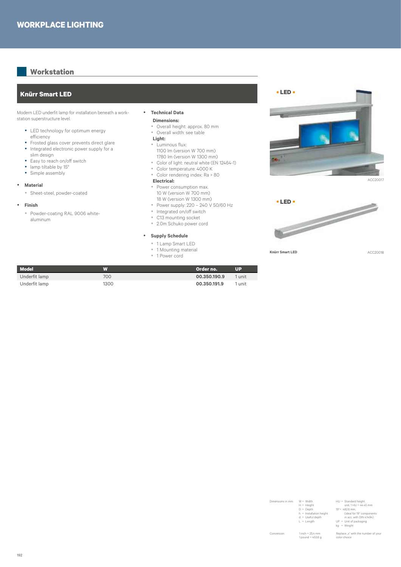# **Knürr Smart LED**

Modern LED underfit lamp for installation beneath a workstation superstructure level.

- LED technology for optimum energy **efficiency**
- Frosted glass cover prevents direct glare
- Integrated electronic power supply for a slim design
- Easy to reach on/off switch
- lamp tiltable by 15°
- Simple assembly

#### **• Material**

• Sheet-steel, powder-coated

## y **Finish**

• Powder-coating RAL 9006 whitealuminum

# y **Technical Data**

# **Dimensions:**

- Overall height: approx. 80 mm • Overall width: see table
- **Light:**
- Luminous flux: 1100 lm (version W 700 mm)
- 1780 lm (version W 1300 mm) y Color of light: neutral white (EN 12464-1)
- y Color temperature: 4000 K
- Color rendering index: Ra > 80
- 

# **Electrical:**

- Power consumption max. 10 W (version W 700 mm) 18 W (version W 1300 mm)
- Power supply:  $220 240$  V 50/60 Hz
- Integrated on/off switch
- y C13 mounting socket
- \* 2.0m Schuko power cord

# **•** Supply Schedule

- 1 Lamp Smart LED
- 1 Mounting material
- \* 1 Mounting material<br>\* 1 Power cord **Knürr Smart LED**

| <b>Model</b>  | w    | Order no.    | <b>UP</b> |
|---------------|------|--------------|-----------|
| Underfit lamp | 700  | 00.350.190.9 | 1 unit    |
| Underfit lamp | 1300 | 00.350.191.9 | 1 unit    |





ACC20018

| Dimensions in mm: | $W = Width$<br>$H = Height$<br>- Depth<br>h = Installation height<br>d = Useful depth<br>$L = Lenath$ | HU = Standard height<br>unit. 1 HU = 44.45 mm<br>19"= 482.6 mm.<br>(ideal for 19" components<br>in acc. with DIN 41494)<br>$UP =$ Unit of packaging<br>ka = Weight |
|-------------------|-------------------------------------------------------------------------------------------------------|--------------------------------------------------------------------------------------------------------------------------------------------------------------------|
| Conversion:       | $1$ inch = $25.4$ mm<br>1 pound = $453,6$ g                                                           | Replace "x" with the number of your<br>color choice                                                                                                                |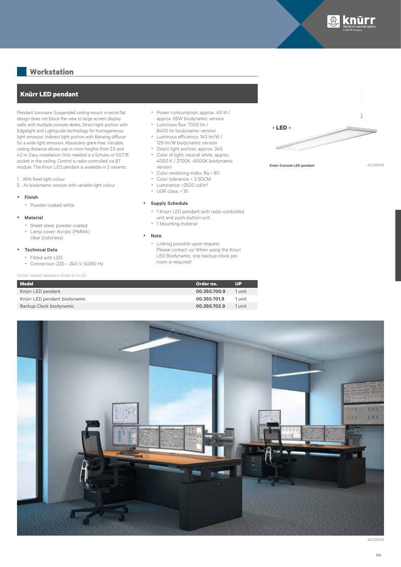

# **Knürr LED pendant**

Pendant luminaire. Suspended ceiling mount in extra flat design does not block the view to large screen display walls with multiple console desks. Direct light portion with Edgelight and Lightguide technology for homogeneous light emission. Indirect light portion with Batwing diffusor for a wide light emission. Absolutely glare-free. Variable ceiling distance allows use in room heights from 2.5 and 4.2 m. Easy installation: Only needed is a Schuko or GST18 socket in the ceiling. Control is radio-controlled via BT module. The Knürr LED pendant is available in 2 variants:

- 1. With fixed light colour
- 2. As biodynamic version with variable light colour

## y **Finish**

• Powder-coated white

## **•** Material

- Sheet-steel, powder-coated
- Lamp cover: Acrylic (PMMA) clear (colorless)

# y **Technical Data**

- Fitted with LED
- y Connection: 220 240 V; 50/60 Hz
- Power consumption: approx. 49 W / approx. 65W biodynamic version
- y Luminous flux: 7000 lm / 8400 lm biodynamic version
- y Luminous efficiency: 143 lm/W /
- 129 lm/W biodynamic version • Direct light portion: approx. 34%
- Color of light: neutral white, approx. 4000 K / 2700K -6500K biodynamic version
- Color rendering index: Ra > 80
- y Color tolerance: < 3 SDCM
- Luminance: <2500 cd/m<sup>2</sup>
- y UGR class: < 16

# **•** Supply Schedule

- 1 Knürr LED pendant with radio-controlled unit and push-button unit
- 1 Mounting material

#### y **Note**

• Linking possible upon request. Please contact us! When using the Knürr LED Biodynamic, one backup clock per room is required!

Picture: Herbert Waldmann GmbH & Co. KG

| Model                        | Order no.    | <b>UP</b> |
|------------------------------|--------------|-----------|
| Knürr LED pendant            | 00.350.700.9 | 1 unit    |
| Knürr LED pendant biodynamic | 00.350.701.9 | 1 unit    |
| Backup Clock biodynamic      | 00.350.702.9 | 1 unit    |





**Knürr Console LED pendant**

ACC20019